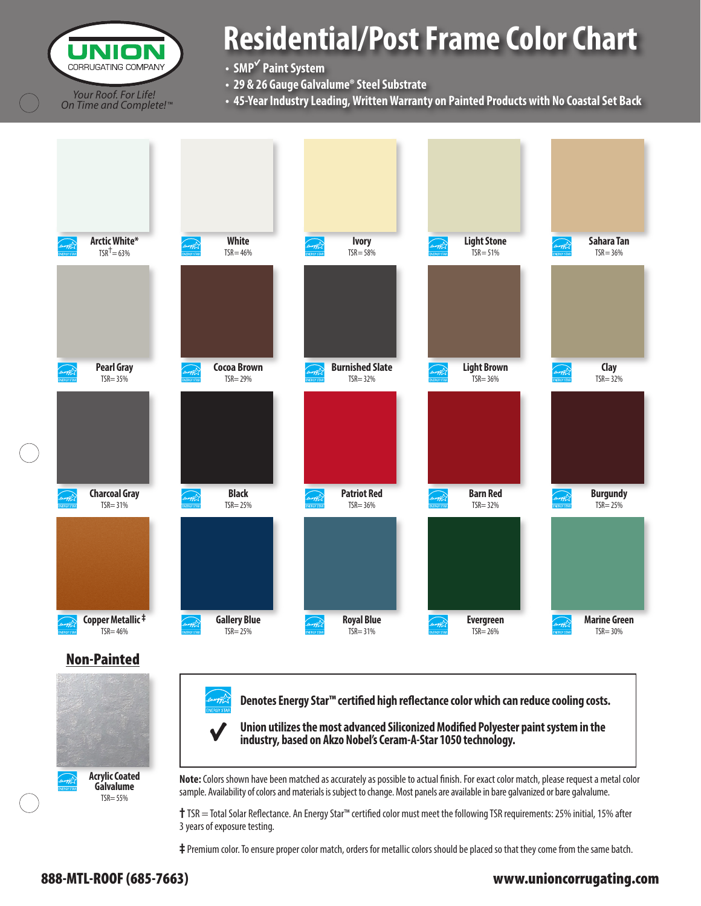CORRUGATING COMPANY *Your Roof. For Life! On Time and Complete! ™*

# **Residential/Post Frame Color Chart**

**• SMP**<sup>√</sup>  **Paint System**

- **29 & 26 Gauge Galvalume® Steel Substrate**
- **45-Year Industry Leading, Written Warranty on Painted Products with No Coastal Set Back**



**‡** Premium color. To ensure proper color match, orders for metallic colors should be placed so that they come from the same batch.

### 888-MTL-ROOF (685-7663) www.unioncorrugating.com